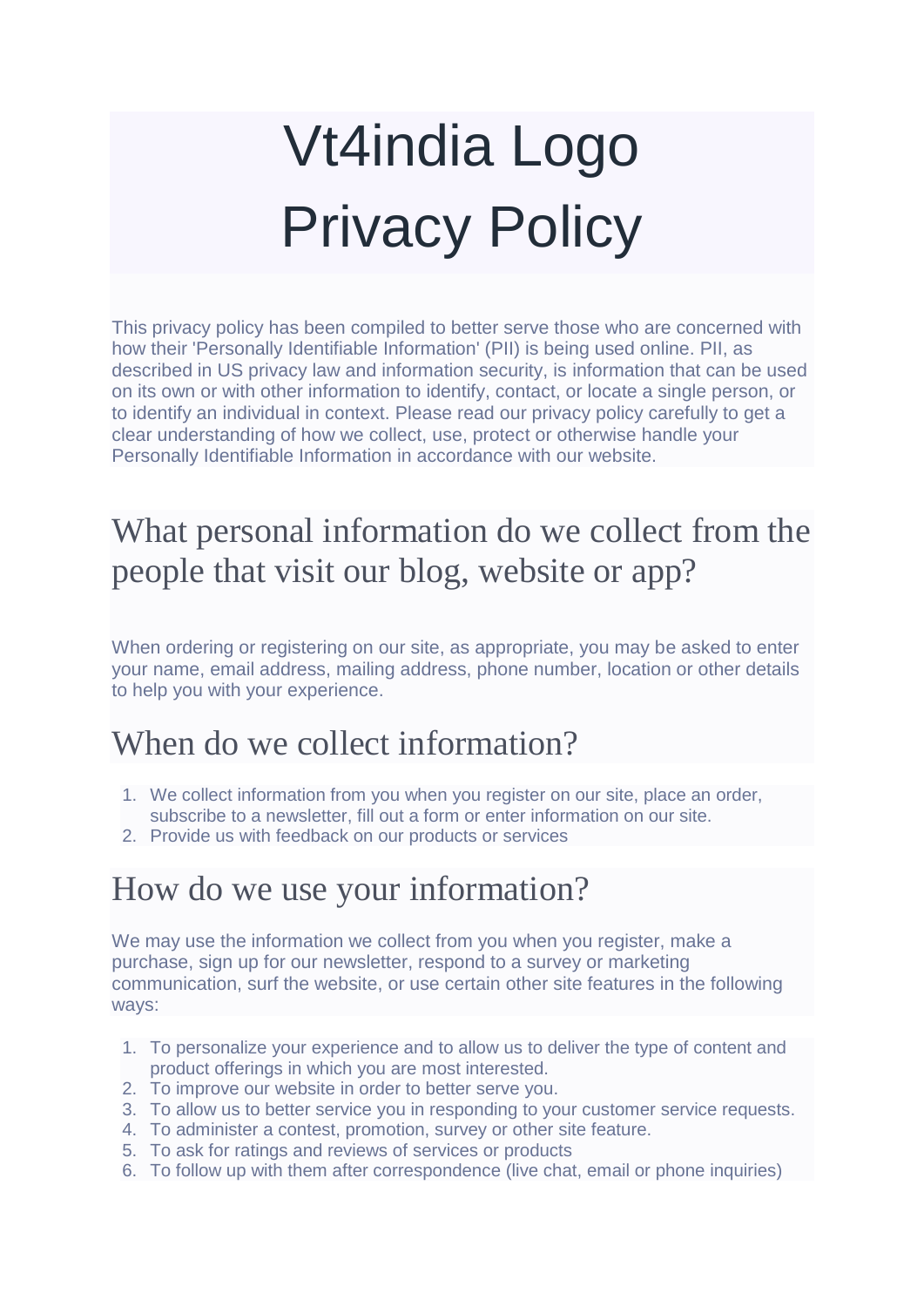# Vt4india Logo Privacy Policy

This privacy policy has been compiled to better serve those who are concerned with how their 'Personally Identifiable Information' (PII) is being used online. PII, as described in US privacy law and information security, is information that can be used on its own or with other information to identify, contact, or locate a single person, or to identify an individual in context. Please read our privacy policy carefully to get a clear understanding of how we collect, use, protect or otherwise handle your Personally Identifiable Information in accordance with our website.

## What personal information do we collect from the people that visit our blog, website or app?

When ordering or registering on our site, as appropriate, you may be asked to enter your name, email address, mailing address, phone number, location or other details to help you with your experience.

### When do we collect information?

- 1. We collect information from you when you register on our site, place an order, subscribe to a newsletter, fill out a form or enter information on our site.
- 2. Provide us with feedback on our products or services

### How do we use your information?

We may use the information we collect from you when you register, make a purchase, sign up for our newsletter, respond to a survey or marketing communication, surf the website, or use certain other site features in the following ways:

- 1. To personalize your experience and to allow us to deliver the type of content and product offerings in which you are most interested.
- 2. To improve our website in order to better serve you.
- 3. To allow us to better service you in responding to your customer service requests.
- 4. To administer a contest, promotion, survey or other site feature.
- 5. To ask for ratings and reviews of services or products
- 6. To follow up with them after correspondence (live chat, email or phone inquiries)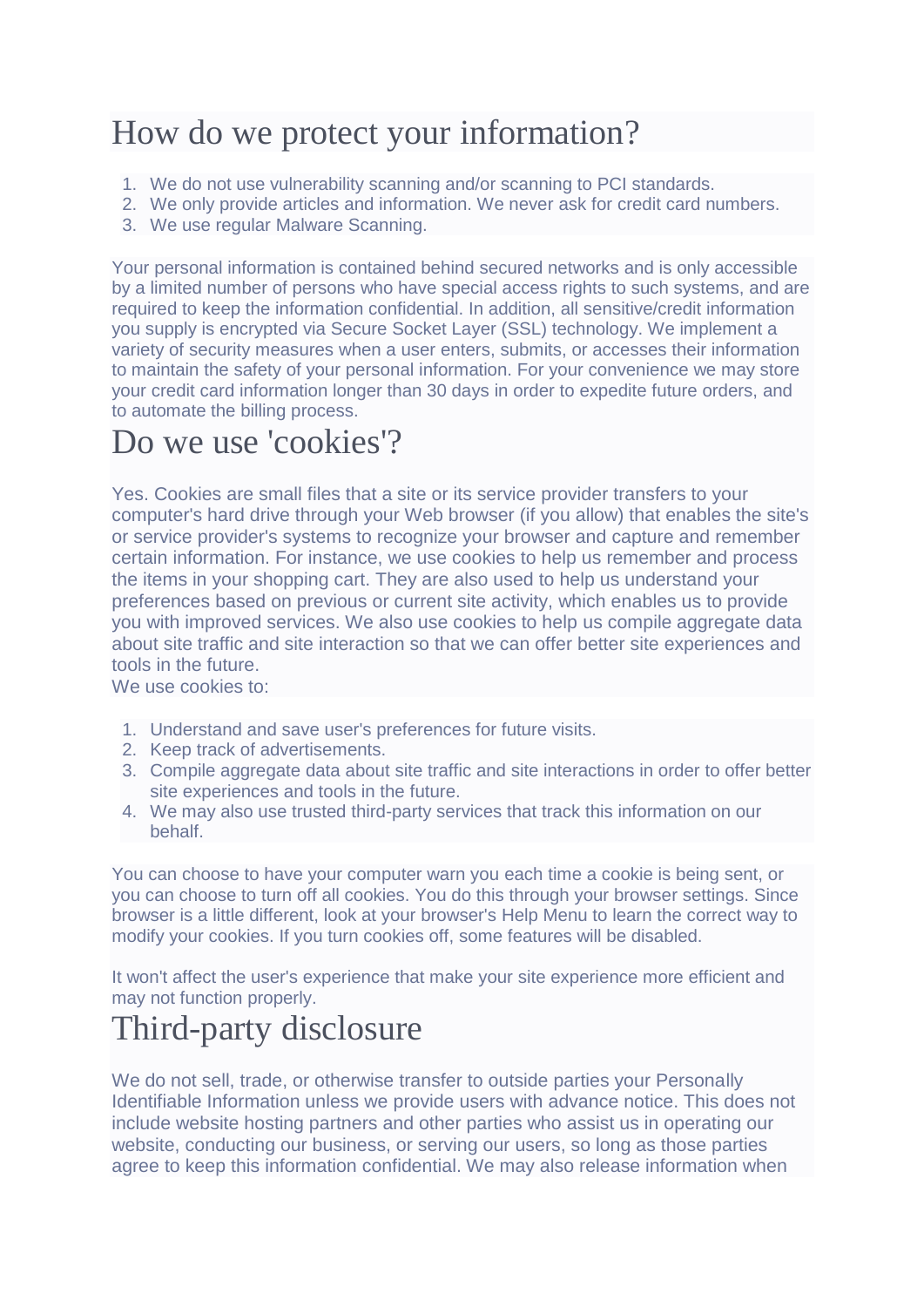### How do we protect your information?

- 1. We do not use vulnerability scanning and/or scanning to PCI standards.
- 2. We only provide articles and information. We never ask for credit card numbers.
- 3. We use regular Malware Scanning.

Your personal information is contained behind secured networks and is only accessible by a limited number of persons who have special access rights to such systems, and are required to keep the information confidential. In addition, all sensitive/credit information you supply is encrypted via Secure Socket Layer (SSL) technology. We implement a variety of security measures when a user enters, submits, or accesses their information to maintain the safety of your personal information. For your convenience we may store your credit card information longer than 30 days in order to expedite future orders, and to automate the billing process.

### Do we use 'cookies'?

Yes. Cookies are small files that a site or its service provider transfers to your computer's hard drive through your Web browser (if you allow) that enables the site's or service provider's systems to recognize your browser and capture and remember certain information. For instance, we use cookies to help us remember and process the items in your shopping cart. They are also used to help us understand your preferences based on previous or current site activity, which enables us to provide you with improved services. We also use cookies to help us compile aggregate data about site traffic and site interaction so that we can offer better site experiences and tools in the future.

We use cookies to:

- 1. Understand and save user's preferences for future visits.
- 2. Keep track of advertisements.
- 3. Compile aggregate data about site traffic and site interactions in order to offer better site experiences and tools in the future.
- 4. We may also use trusted third-party services that track this information on our behalf.

You can choose to have your computer warn you each time a cookie is being sent, or you can choose to turn off all cookies. You do this through your browser settings. Since browser is a little different, look at your browser's Help Menu to learn the correct way to modify your cookies. If you turn cookies off, some features will be disabled.

It won't affect the user's experience that make your site experience more efficient and may not function properly.

## Third-party disclosure

We do not sell, trade, or otherwise transfer to outside parties your Personally Identifiable Information unless we provide users with advance notice. This does not include website hosting partners and other parties who assist us in operating our website, conducting our business, or serving our users, so long as those parties agree to keep this information confidential. We may also release information when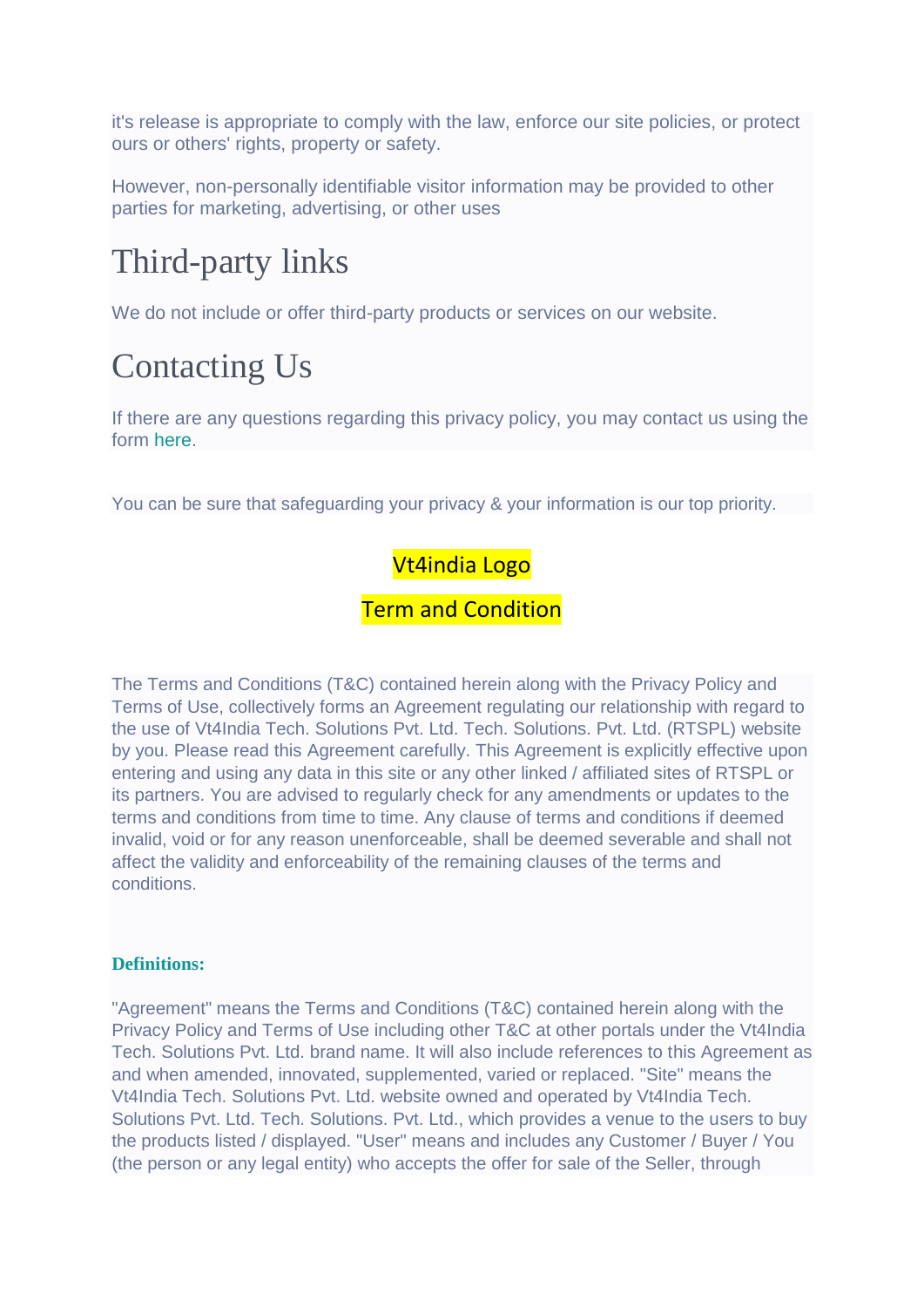it's release is appropriate to comply with the law, enforce our site policies, or protect ours or others' rights, property or safety.

However, non-personally identifiable visitor information may be provided to other parties for marketing, advertising, or other uses

# Third-party links

We do not include or offer third-party products or services on our website.

# Contacting Us

If there are any questions regarding this privacy policy, you may contact us using the form [here.](https://roadcast.in/contact-us)

You can be sure that safeguarding your privacy & your information is our top priority.

### Vt4india Logo

### **Term and Condition**

The Terms and Conditions (T&C) contained herein along with the Privacy Policy and Terms of Use, collectively forms an Agreement regulating our relationship with regard to the use of Vt4India Tech. Solutions Pvt. Ltd. Tech. Solutions. Pvt. Ltd. (RTSPL) website by you. Please read this Agreement carefully. This Agreement is explicitly effective upon entering and using any data in this site or any other linked / affiliated sites of RTSPL or its partners. You are advised to regularly check for any amendments or updates to the terms and conditions from time to time. Any clause of terms and conditions if deemed invalid, void or for any reason unenforceable, shall be deemed severable and shall not affect the validity and enforceability of the remaining clauses of the terms and conditions.

#### **Definitions:**

"Agreement" means the Terms and Conditions (T&C) contained herein along with the Privacy Policy and Terms of Use including other T&C at other portals under the Vt4India Tech. Solutions Pvt. Ltd. brand name. It will also include references to this Agreement as and when amended, innovated, supplemented, varied or replaced. "Site" means the Vt4India Tech. Solutions Pvt. Ltd. website owned and operated by Vt4India Tech. Solutions Pvt. Ltd. Tech. Solutions. Pvt. Ltd., which provides a venue to the users to buy the products listed / displayed. "User" means and includes any Customer / Buyer / You (the person or any legal entity) who accepts the offer for sale of the Seller, through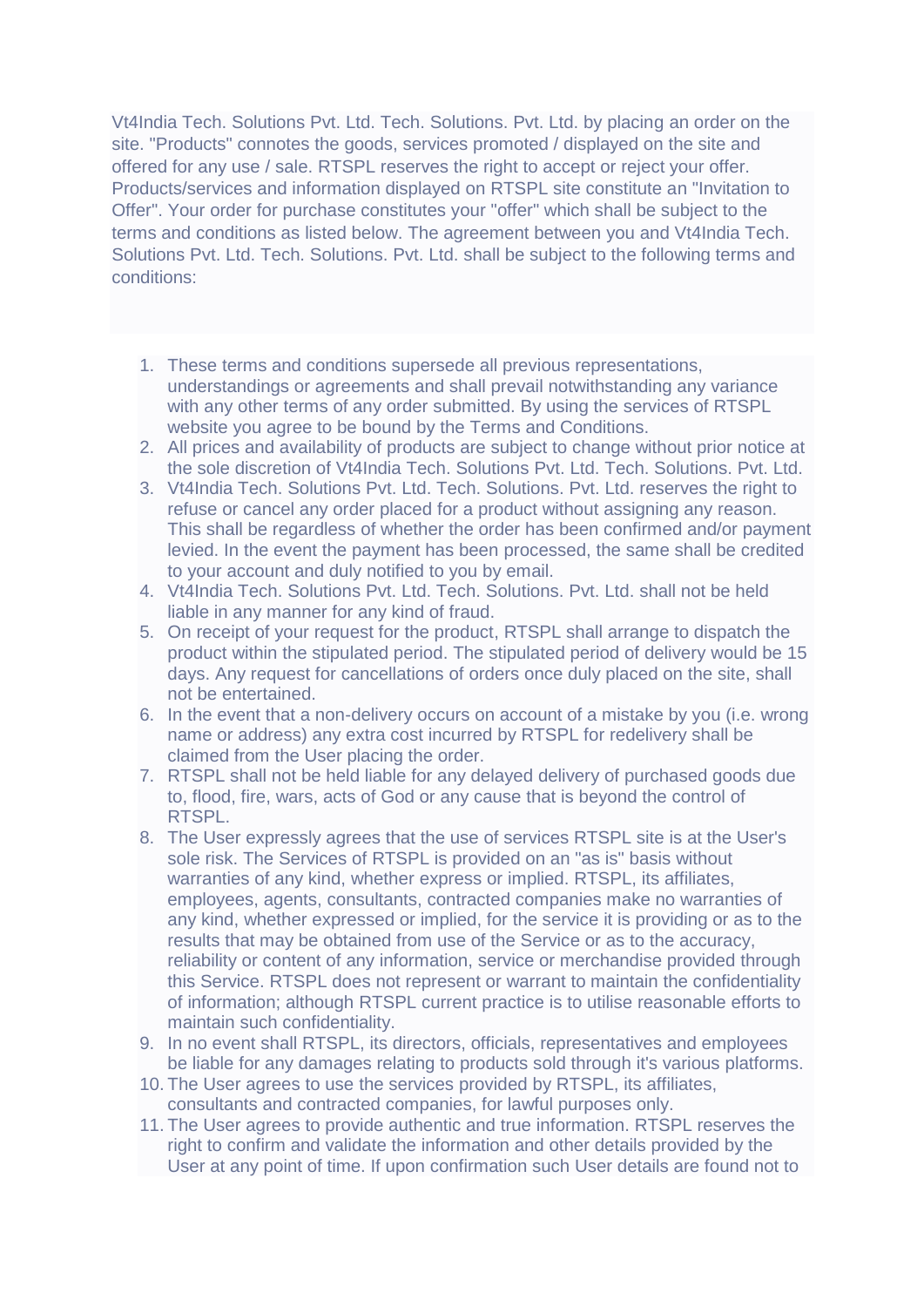Vt4India Tech. Solutions Pvt. Ltd. Tech. Solutions. Pvt. Ltd. by placing an order on the site. "Products" connotes the goods, services promoted / displayed on the site and offered for any use / sale. RTSPL reserves the right to accept or reject your offer. Products/services and information displayed on RTSPL site constitute an "Invitation to Offer". Your order for purchase constitutes your "offer" which shall be subject to the terms and conditions as listed below. The agreement between you and Vt4India Tech. Solutions Pvt. Ltd. Tech. Solutions. Pvt. Ltd. shall be subject to the following terms and conditions:

- 1. These terms and conditions supersede all previous representations, understandings or agreements and shall prevail notwithstanding any variance with any other terms of any order submitted. By using the services of RTSPL website you agree to be bound by the Terms and Conditions.
- 2. All prices and availability of products are subject to change without prior notice at the sole discretion of Vt4India Tech. Solutions Pvt. Ltd. Tech. Solutions. Pvt. Ltd.
- 3. Vt4India Tech. Solutions Pvt. Ltd. Tech. Solutions. Pvt. Ltd. reserves the right to refuse or cancel any order placed for a product without assigning any reason. This shall be regardless of whether the order has been confirmed and/or payment levied. In the event the payment has been processed, the same shall be credited to your account and duly notified to you by email.
- 4. Vt4India Tech. Solutions Pvt. Ltd. Tech. Solutions. Pvt. Ltd. shall not be held liable in any manner for any kind of fraud.
- 5. On receipt of your request for the product, RTSPL shall arrange to dispatch the product within the stipulated period. The stipulated period of delivery would be 15 days. Any request for cancellations of orders once duly placed on the site, shall not be entertained.
- 6. In the event that a non-delivery occurs on account of a mistake by you (i.e. wrong name or address) any extra cost incurred by RTSPL for redelivery shall be claimed from the User placing the order.
- 7. RTSPL shall not be held liable for any delayed delivery of purchased goods due to, flood, fire, wars, acts of God or any cause that is beyond the control of RTSPL.
- 8. The User expressly agrees that the use of services RTSPL site is at the User's sole risk. The Services of RTSPL is provided on an "as is" basis without warranties of any kind, whether express or implied. RTSPL, its affiliates, employees, agents, consultants, contracted companies make no warranties of any kind, whether expressed or implied, for the service it is providing or as to the results that may be obtained from use of the Service or as to the accuracy, reliability or content of any information, service or merchandise provided through this Service. RTSPL does not represent or warrant to maintain the confidentiality of information; although RTSPL current practice is to utilise reasonable efforts to maintain such confidentiality.
- 9. In no event shall RTSPL, its directors, officials, representatives and employees be liable for any damages relating to products sold through it's various platforms.
- 10. The User agrees to use the services provided by RTSPL, its affiliates, consultants and contracted companies, for lawful purposes only.
- 11. The User agrees to provide authentic and true information. RTSPL reserves the right to confirm and validate the information and other details provided by the User at any point of time. If upon confirmation such User details are found not to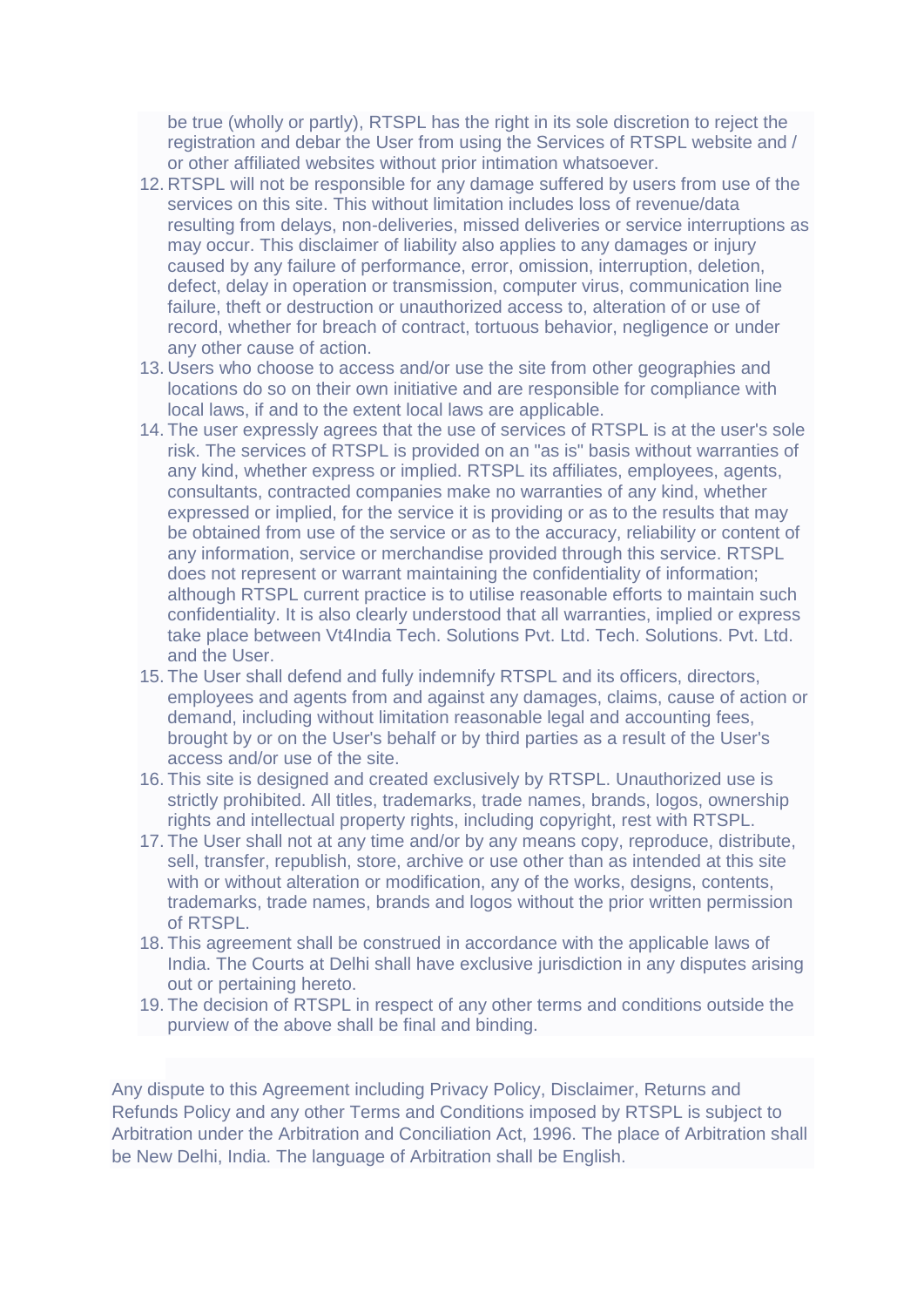be true (wholly or partly), RTSPL has the right in its sole discretion to reject the registration and debar the User from using the Services of RTSPL website and / or other affiliated websites without prior intimation whatsoever.

- 12. RTSPL will not be responsible for any damage suffered by users from use of the services on this site. This without limitation includes loss of revenue/data resulting from delays, non-deliveries, missed deliveries or service interruptions as may occur. This disclaimer of liability also applies to any damages or injury caused by any failure of performance, error, omission, interruption, deletion, defect, delay in operation or transmission, computer virus, communication line failure, theft or destruction or unauthorized access to, alteration of or use of record, whether for breach of contract, tortuous behavior, negligence or under any other cause of action.
- 13. Users who choose to access and/or use the site from other geographies and locations do so on their own initiative and are responsible for compliance with local laws, if and to the extent local laws are applicable.
- 14. The user expressly agrees that the use of services of RTSPL is at the user's sole risk. The services of RTSPL is provided on an "as is" basis without warranties of any kind, whether express or implied. RTSPL its affiliates, employees, agents, consultants, contracted companies make no warranties of any kind, whether expressed or implied, for the service it is providing or as to the results that may be obtained from use of the service or as to the accuracy, reliability or content of any information, service or merchandise provided through this service. RTSPL does not represent or warrant maintaining the confidentiality of information; although RTSPL current practice is to utilise reasonable efforts to maintain such confidentiality. It is also clearly understood that all warranties, implied or express take place between Vt4India Tech. Solutions Pvt. Ltd. Tech. Solutions. Pvt. Ltd. and the User.
- 15. The User shall defend and fully indemnify RTSPL and its officers, directors, employees and agents from and against any damages, claims, cause of action or demand, including without limitation reasonable legal and accounting fees, brought by or on the User's behalf or by third parties as a result of the User's access and/or use of the site.
- 16. This site is designed and created exclusively by RTSPL. Unauthorized use is strictly prohibited. All titles, trademarks, trade names, brands, logos, ownership rights and intellectual property rights, including copyright, rest with RTSPL.
- 17. The User shall not at any time and/or by any means copy, reproduce, distribute, sell, transfer, republish, store, archive or use other than as intended at this site with or without alteration or modification, any of the works, designs, contents, trademarks, trade names, brands and logos without the prior written permission of RTSPL.
- 18. This agreement shall be construed in accordance with the applicable laws of India. The Courts at Delhi shall have exclusive jurisdiction in any disputes arising out or pertaining hereto.
- 19. The decision of RTSPL in respect of any other terms and conditions outside the purview of the above shall be final and binding.

Any dispute to this Agreement including Privacy Policy, Disclaimer, Returns and Refunds Policy and any other Terms and Conditions imposed by RTSPL is subject to Arbitration under the Arbitration and Conciliation Act, 1996. The place of Arbitration shall be New Delhi, India. The language of Arbitration shall be English.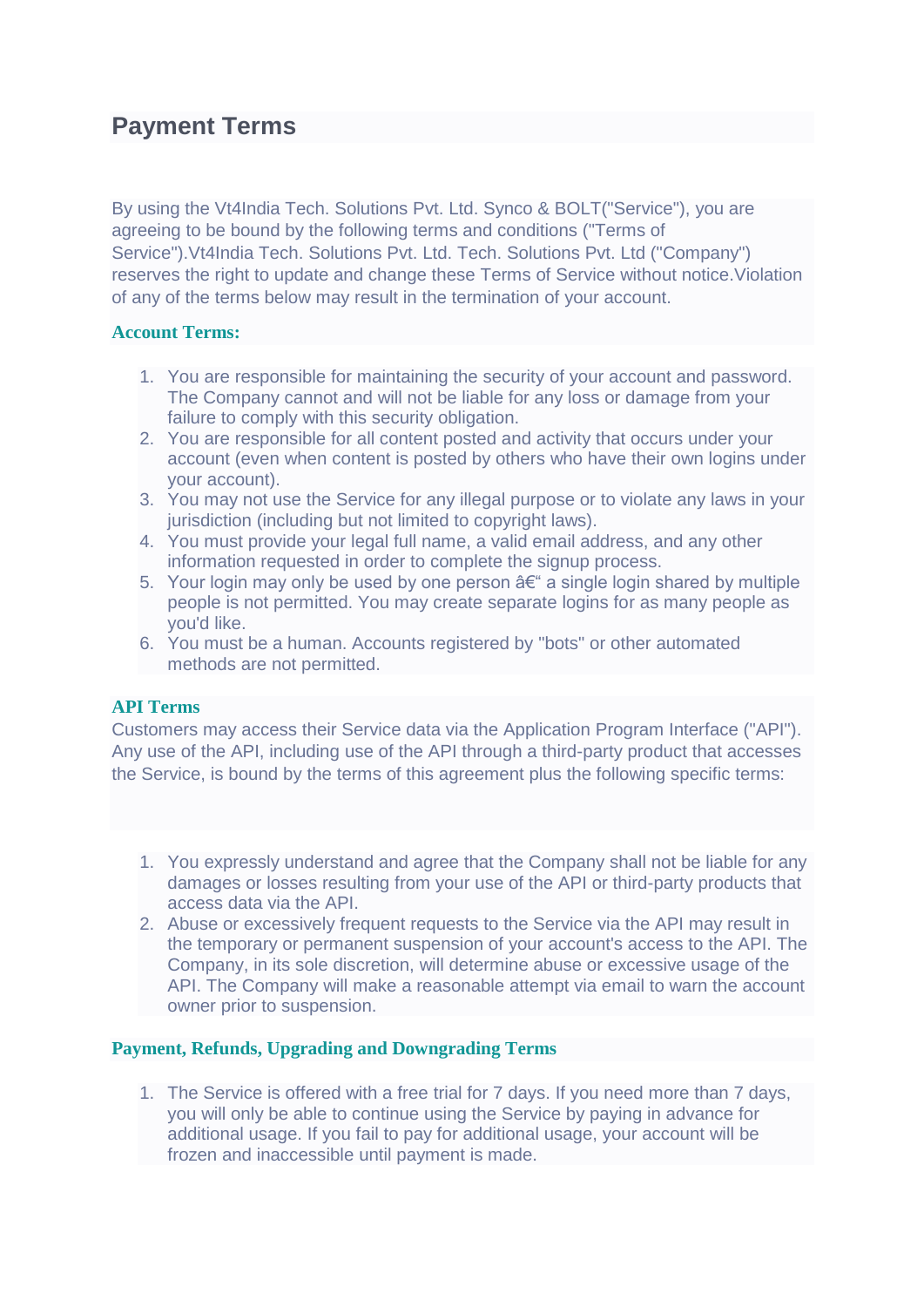### **Payment Terms**

By using the Vt4India Tech. Solutions Pvt. Ltd. Synco & BOLT("Service"), you are agreeing to be bound by the following terms and conditions ("Terms of Service").Vt4India Tech. Solutions Pvt. Ltd. Tech. Solutions Pvt. Ltd ("Company") reserves the right to update and change these Terms of Service without notice.Violation of any of the terms below may result in the termination of your account.

#### **Account Terms:**

- 1. You are responsible for maintaining the security of your account and password. The Company cannot and will not be liable for any loss or damage from your failure to comply with this security obligation.
- 2. You are responsible for all content posted and activity that occurs under your account (even when content is posted by others who have their own logins under your account).
- 3. You may not use the Service for any illegal purpose or to violate any laws in your jurisdiction (including but not limited to copyright laws).
- 4. You must provide your legal full name, a valid email address, and any other information requested in order to complete the signup process.
- 5. Your login may only be used by one person  $a \in \mathscr{C}$  a single login shared by multiple people is not permitted. You may create separate logins for as many people as you'd like.
- 6. You must be a human. Accounts registered by "bots" or other automated methods are not permitted.

#### **API Terms**

Customers may access their Service data via the Application Program Interface ("API"). Any use of the API, including use of the API through a third-party product that accesses the Service, is bound by the terms of this agreement plus the following specific terms:

- 1. You expressly understand and agree that the Company shall not be liable for any damages or losses resulting from your use of the API or third-party products that access data via the API.
- 2. Abuse or excessively frequent requests to the Service via the API may result in the temporary or permanent suspension of your account's access to the API. The Company, in its sole discretion, will determine abuse or excessive usage of the API. The Company will make a reasonable attempt via email to warn the account owner prior to suspension.

#### **Payment, Refunds, Upgrading and Downgrading Terms**

1. The Service is offered with a free trial for 7 days. If you need more than 7 days, you will only be able to continue using the Service by paying in advance for additional usage. If you fail to pay for additional usage, your account will be frozen and inaccessible until payment is made.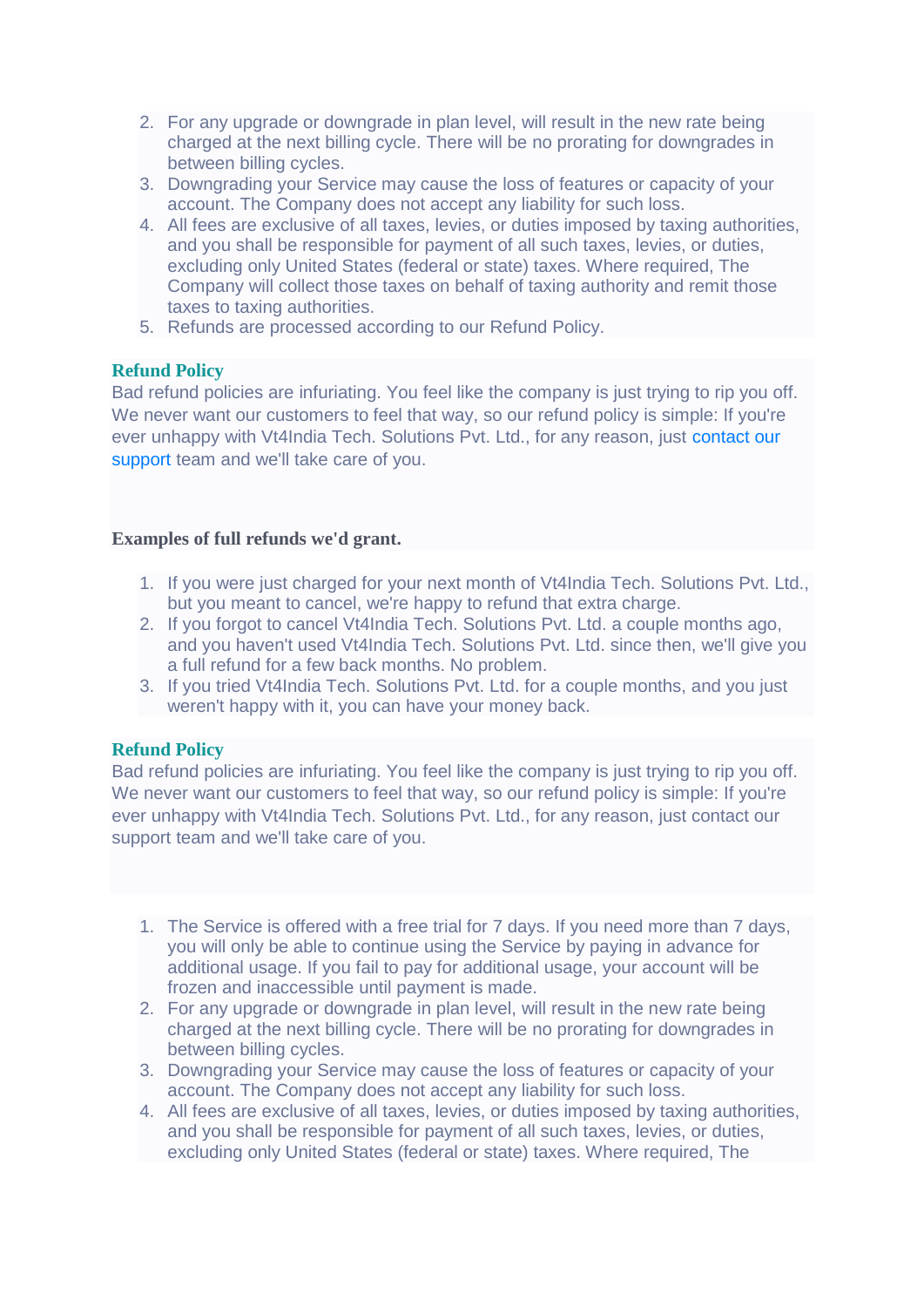- 2. For any upgrade or downgrade in plan level, will result in the new rate being charged at the next billing cycle. There will be no prorating for downgrades in between billing cycles.
- 3. Downgrading your Service may cause the loss of features or capacity of your account. The Company does not accept any liability for such loss.
- 4. All fees are exclusive of all taxes, levies, or duties imposed by taxing authorities, and you shall be responsible for payment of all such taxes, levies, or duties, excluding only United States (federal or state) taxes. Where required, The Company will collect those taxes on behalf of taxing authority and remit those taxes to taxing authorities.
- 5. Refunds are processed according to our Refund Policy.

#### **Refund Policy**

Bad refund policies are infuriating. You feel like the company is just trying to rip you off. We never want our customers to feel that way, so our refund policy is simple: If you're ever unhappy with Vt4India Tech. Solutions Pvt. Ltd., for any reason, just [contact our](mailto:contactus@roadcast.in)  [support](mailto:contactus@roadcast.in) team and we'll take care of you.

#### **Examples of full refunds we'd grant.**

- 1. If you were just charged for your next month of Vt4India Tech. Solutions Pvt. Ltd., but you meant to cancel, we're happy to refund that extra charge.
- 2. If you forgot to cancel Vt4India Tech. Solutions Pvt. Ltd. a couple months ago, and you haven't used Vt4India Tech. Solutions Pvt. Ltd. since then, we'll give you a full refund for a few back months. No problem.
- 3. If you tried Vt4India Tech. Solutions Pvt. Ltd. for a couple months, and you just weren't happy with it, you can have your money back.

#### **Refund Policy**

Bad refund policies are infuriating. You feel like the company is just trying to rip you off. We never want our customers to feel that way, so our refund policy is simple: If you're ever unhappy with Vt4India Tech. Solutions Pvt. Ltd., for any reason, just contact our support team and we'll take care of you.

- 1. The Service is offered with a free trial for 7 days. If you need more than 7 days, you will only be able to continue using the Service by paying in advance for additional usage. If you fail to pay for additional usage, your account will be frozen and inaccessible until payment is made.
- 2. For any upgrade or downgrade in plan level, will result in the new rate being charged at the next billing cycle. There will be no prorating for downgrades in between billing cycles.
- 3. Downgrading your Service may cause the loss of features or capacity of your account. The Company does not accept any liability for such loss.
- 4. All fees are exclusive of all taxes, levies, or duties imposed by taxing authorities, and you shall be responsible for payment of all such taxes, levies, or duties, excluding only United States (federal or state) taxes. Where required, The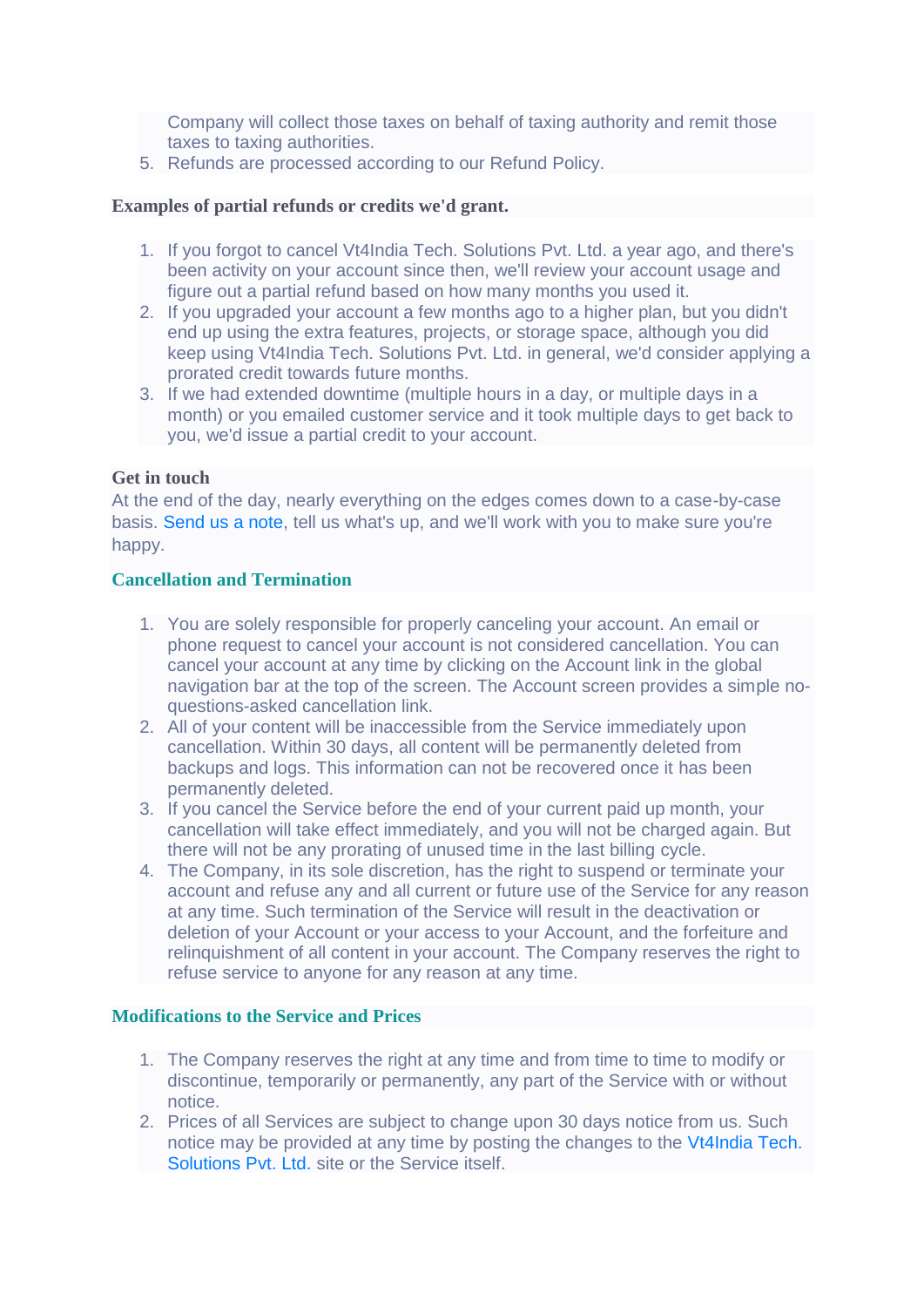Company will collect those taxes on behalf of taxing authority and remit those taxes to taxing authorities.

5. Refunds are processed according to our Refund Policy.

#### **Examples of partial refunds or credits we'd grant.**

- 1. If you forgot to cancel Vt4India Tech. Solutions Pvt. Ltd. a year ago, and there's been activity on your account since then, we'll review your account usage and figure out a partial refund based on how many months you used it.
- 2. If you upgraded your account a few months ago to a higher plan, but you didn't end up using the extra features, projects, or storage space, although you did keep using Vt4India Tech. Solutions Pvt. Ltd. in general, we'd consider applying a prorated credit towards future months.
- 3. If we had extended downtime (multiple hours in a day, or multiple days in a month) or you emailed customer service and it took multiple days to get back to you, we'd issue a partial credit to your account.

#### **Get in touch**

At the end of the day, nearly everything on the edges comes down to a case-by-case basis. [Send us a note,](mailto:contactus@roadcast.in) tell us what's up, and we'll work with you to make sure you're happy.

#### **Cancellation and Termination**

- 1. You are solely responsible for properly canceling your account. An email or phone request to cancel your account is not considered cancellation. You can cancel your account at any time by clicking on the Account link in the global navigation bar at the top of the screen. The Account screen provides a simple noquestions-asked cancellation link.
- 2. All of your content will be inaccessible from the Service immediately upon cancellation. Within 30 days, all content will be permanently deleted from backups and logs. This information can not be recovered once it has been permanently deleted.
- 3. If you cancel the Service before the end of your current paid up month, your cancellation will take effect immediately, and you will not be charged again. But there will not be any prorating of unused time in the last billing cycle.
- 4. The Company, in its sole discretion, has the right to suspend or terminate your account and refuse any and all current or future use of the Service for any reason at any time. Such termination of the Service will result in the deactivation or deletion of your Account or your access to your Account, and the forfeiture and relinquishment of all content in your account. The Company reserves the right to refuse service to anyone for any reason at any time.

#### **Modifications to the Service and Prices**

- 1. The Company reserves the right at any time and from time to time to modify or discontinue, temporarily or permanently, any part of the Service with or without notice.
- 2. Prices of all Services are subject to change upon 30 days notice from us. Such notice may be provided at any time by posting the changes to the [Vt4India Tech.](https://roadcast.in/)  [Solutions Pvt. Ltd.](https://roadcast.in/) site or the Service itself.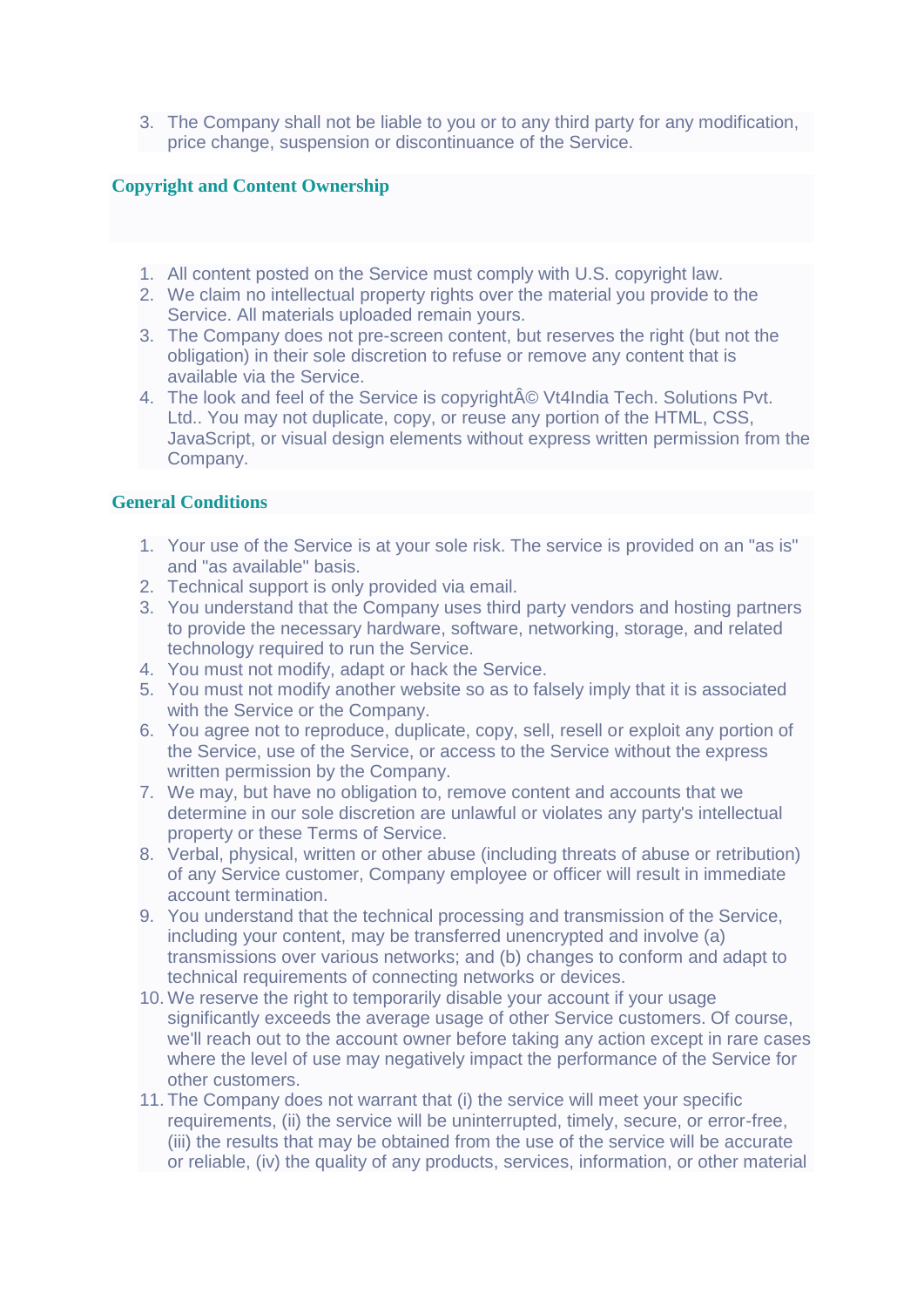3. The Company shall not be liable to you or to any third party for any modification, price change, suspension or discontinuance of the Service.

#### **Copyright and Content Ownership**

- 1. All content posted on the Service must comply with U.S. copyright law.
- 2. We claim no intellectual property rights over the material you provide to the Service. All materials uploaded remain yours.
- 3. The Company does not pre-screen content, but reserves the right (but not the obligation) in their sole discretion to refuse or remove any content that is available via the Service.
- 4. The look and feel of the Service is copyright© Vt4India Tech. Solutions Pvt. Ltd.. You may not duplicate, copy, or reuse any portion of the HTML, CSS, JavaScript, or visual design elements without express written permission from the Company.

#### **General Conditions**

- 1. Your use of the Service is at your sole risk. The service is provided on an "as is" and "as available" basis.
- 2. Technical support is only provided via email.
- 3. You understand that the Company uses third party vendors and hosting partners to provide the necessary hardware, software, networking, storage, and related technology required to run the Service.
- 4. You must not modify, adapt or hack the Service.
- 5. You must not modify another website so as to falsely imply that it is associated with the Service or the Company.
- 6. You agree not to reproduce, duplicate, copy, sell, resell or exploit any portion of the Service, use of the Service, or access to the Service without the express written permission by the Company.
- 7. We may, but have no obligation to, remove content and accounts that we determine in our sole discretion are unlawful or violates any party's intellectual property or these Terms of Service.
- 8. Verbal, physical, written or other abuse (including threats of abuse or retribution) of any Service customer, Company employee or officer will result in immediate account termination.
- 9. You understand that the technical processing and transmission of the Service, including your content, may be transferred unencrypted and involve (a) transmissions over various networks; and (b) changes to conform and adapt to technical requirements of connecting networks or devices.
- 10. We reserve the right to temporarily disable your account if your usage significantly exceeds the average usage of other Service customers. Of course, we'll reach out to the account owner before taking any action except in rare cases where the level of use may negatively impact the performance of the Service for other customers.
- 11. The Company does not warrant that (i) the service will meet your specific requirements, (ii) the service will be uninterrupted, timely, secure, or error-free, (iii) the results that may be obtained from the use of the service will be accurate or reliable, (iv) the quality of any products, services, information, or other material